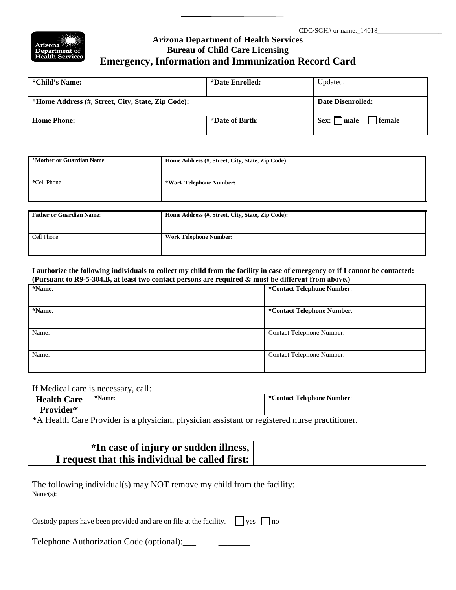

## **Arizona Department of Health Services Bureau of Child Care Licensing Emergency, Information and Immunization Record Card**

| *Child's Name:                                    | *Date Enrolled: | Updated:                   |  |
|---------------------------------------------------|-----------------|----------------------------|--|
| *Home Address (#, Street, City, State, Zip Code): |                 | Date Disenrolled:          |  |
| <b>Home Phone:</b>                                | *Date of Birth: | female<br>  male<br>Sex: 1 |  |

| *Mother or Guardian Name:       | Home Address (#, Street, City, State, Zip Code): |
|---------------------------------|--------------------------------------------------|
|                                 |                                                  |
| *Cell Phone                     | *Work Telephone Number:                          |
|                                 |                                                  |
|                                 |                                                  |
| <b>Father or Guardian Name:</b> | Home Address (#, Street, City, State, Zip Code): |
|                                 |                                                  |
| Cell Phone                      | <b>Work Telephone Number:</b>                    |
|                                 |                                                  |

**I authorize the following individuals to collect my child from the facility in case of emergency or if I cannot be contacted: (Pursuant to R9-5-304.B, at least two contact persons are required & must be different from above.)** 

| *Name: | *Contact Telephone Number:       |  |
|--------|----------------------------------|--|
|        |                                  |  |
| *Name: | *Contact Telephone Number:       |  |
|        |                                  |  |
| Name:  | <b>Contact Telephone Number:</b> |  |
|        |                                  |  |
| Name:  | <b>Contact Telephone Number:</b> |  |
|        |                                  |  |

#### If Medical care is necessary, call:

| <b>Health Care</b><br>Provider*         | *Name: | $\star$ $\sim$<br><b>Contact Telephone Number:</b> |
|-----------------------------------------|--------|----------------------------------------------------|
| $\mathbf{A}$ and $\mathbf{A}$<br>$\sim$ |        |                                                    |

\*A Health Care Provider is a physician, physician assistant or registered nurse practitioner.

| *In case of injury or sudden illness,           |  |
|-------------------------------------------------|--|
| I request that this individual be called first: |  |

#### The following individual(s) may NOT remove my child from the facility:

Name(s):

| Custody papers have been provided and are on file at the facility. $\Box$ yes $\Box$ no |  |
|-----------------------------------------------------------------------------------------|--|
|                                                                                         |  |

Telephone Authorization Code (optional): \_\_\_ \_\_ \_\_\_\_\_\_